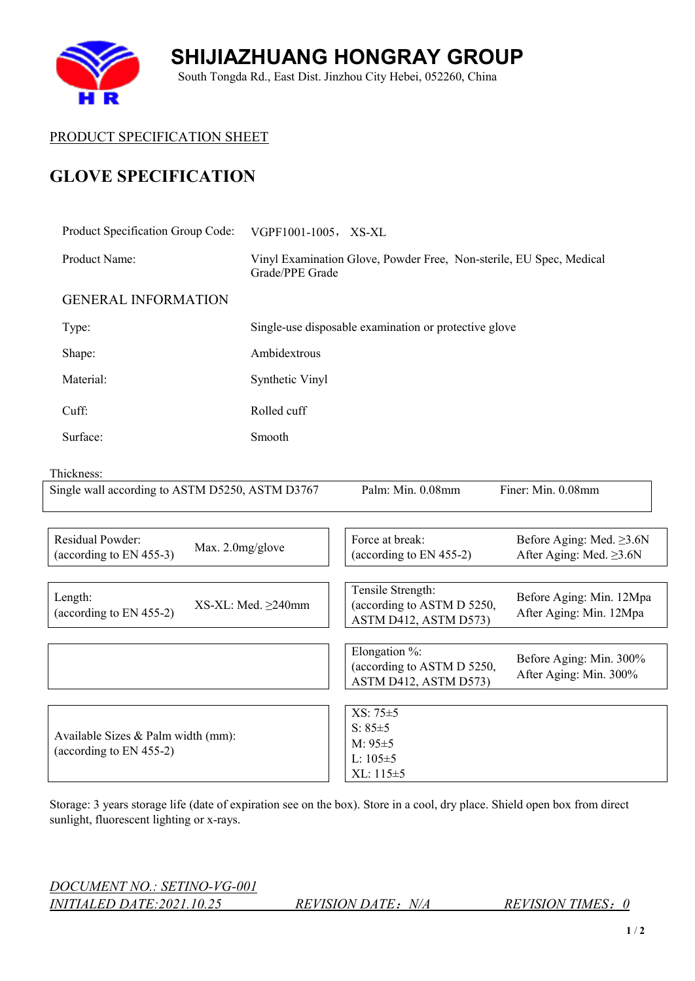**SHIJIAZHUANG HONGRAY GROUP** South Tongda Rd., East Dist. Jinzhou City Hebei, 052260, China



4 R

## **GLOVE SPECIFICATION**

| Product Specification Group Code:                                                          | VGPF1001-1005, XS-XL                                                                   |                                                                          |                                                                 |  |
|--------------------------------------------------------------------------------------------|----------------------------------------------------------------------------------------|--------------------------------------------------------------------------|-----------------------------------------------------------------|--|
| Product Name:                                                                              | Vinyl Examination Glove, Powder Free, Non-sterile, EU Spec, Medical<br>Grade/PPE Grade |                                                                          |                                                                 |  |
| <b>GENERAL INFORMATION</b>                                                                 |                                                                                        |                                                                          |                                                                 |  |
| Type:                                                                                      |                                                                                        | Single-use disposable examination or protective glove                    |                                                                 |  |
| Shape:                                                                                     | Ambidextrous                                                                           |                                                                          |                                                                 |  |
| Material:                                                                                  | Synthetic Vinyl                                                                        |                                                                          |                                                                 |  |
| Cuff:                                                                                      | Rolled cuff                                                                            |                                                                          |                                                                 |  |
| Surface:                                                                                   | Smooth                                                                                 |                                                                          |                                                                 |  |
| Thickness:                                                                                 |                                                                                        |                                                                          |                                                                 |  |
| Single wall according to ASTM D5250, ASTM D3767<br>Finer: Min. 0.08mm<br>Palm: Min. 0.08mm |                                                                                        |                                                                          |                                                                 |  |
|                                                                                            |                                                                                        |                                                                          |                                                                 |  |
| Residual Powder:<br>Max. 2.0mg/glove<br>(according to EN 455-3)                            |                                                                                        | Force at break:<br>(according to EN 455-2)                               | Before Aging: Med. $\geq$ 3.6N<br>After Aging: Med. $\geq$ 3.6N |  |
|                                                                                            |                                                                                        |                                                                          |                                                                 |  |
| Length:<br>(according to EN 455-2)                                                         | $XS-XL: Med. \geq 240mm$                                                               | Tensile Strength:<br>(according to ASTM D 5250,<br>ASTM D412, ASTM D573) | Before Aging: Min. 12Mpa<br>After Aging: Min. 12Mpa             |  |
|                                                                                            |                                                                                        |                                                                          |                                                                 |  |
|                                                                                            |                                                                                        | Elongation %:<br>(according to ASTM D 5250,<br>ASTM D412, ASTM D573)     | Before Aging: Min. 300%<br>After Aging: Min. 300%               |  |
|                                                                                            |                                                                                        |                                                                          |                                                                 |  |
| Available Sizes & Palm width (mm):<br>(according to EN 455-2)                              |                                                                                        | XS: 75±5<br>$S: 85 + 5$                                                  |                                                                 |  |
|                                                                                            |                                                                                        | $M: 95 \pm 5$                                                            |                                                                 |  |
|                                                                                            |                                                                                        | $L: 105 \pm 5$                                                           |                                                                 |  |
|                                                                                            |                                                                                        | XL: 115±5                                                                |                                                                 |  |

Storage: 3 years storage life (date of expiration see on the box). Store in a cool, dry place. Shield open box from direct sunlight, fluorescent lighting or x-rays.

*DOCUMENT NO.: SETINO-VG-001 INITIALED DATE:2021.10.25 REVISION DATE*:*N/A REVISION TIMES*:*0*